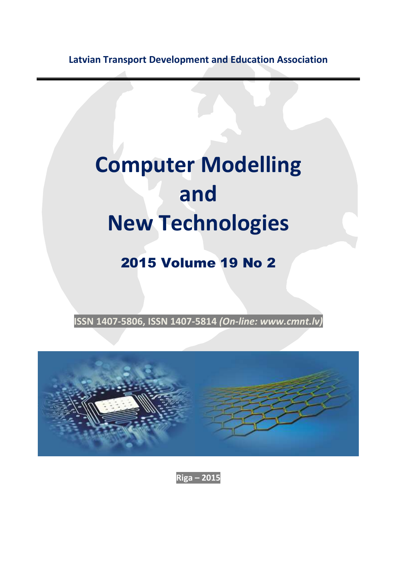**Latvian Transport Development and Education Association**

## **Computer Modelling and New Technologies**

## 2015 Volume 19 No 2

**ISSN 1407-5806, ISSN 1407-5814** *(On-line: www.cmnt.lv)*



**Riga – 2015**